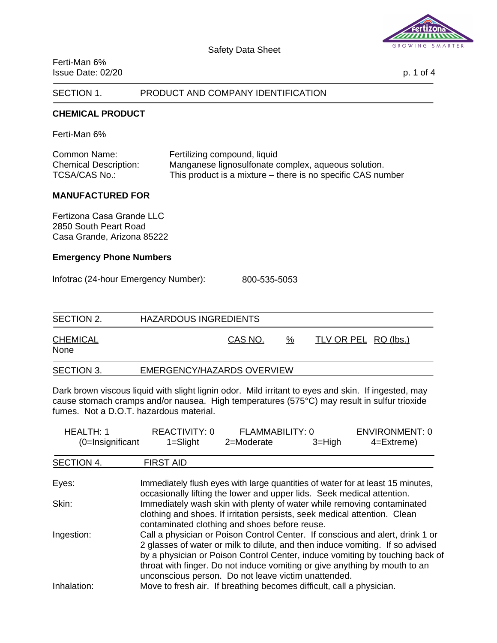

Ferti-Man 6% Issue Date: 02/20 p. 1 of 4

## SECTION 1. PRODUCT AND COMPANY IDENTIFICATION

### **CHEMICAL PRODUCT**

Ferti-Man 6%

| Common Name:                 | Fertilizing compound, liquid                                |
|------------------------------|-------------------------------------------------------------|
| <b>Chemical Description:</b> | Manganese lignosulfonate complex, aqueous solution.         |
| TCSA/CAS No.:                | This product is a mixture – there is no specific CAS number |

#### **MANUFACTURED FOR**

Fertizona Casa Grande LLC 2850 South Peart Road Casa Grande, Arizona 85222

### **Emergency Phone Numbers**

Infotrac (24-hour Emergency Number): 800-535-5053

| SECTION 2.              | HAZARDOUS INGREDIENTS      |   |                      |  |
|-------------------------|----------------------------|---|----------------------|--|
| <b>CHEMICAL</b><br>None | CAS NO.                    | % | TLV OR PEL RQ (lbs.) |  |
| SECTION 3.              | EMERGENCY/HAZARDS OVERVIEW |   |                      |  |

Dark brown viscous liquid with slight lignin odor. Mild irritant to eyes and skin. If ingested, may cause stomach cramps and/or nausea. High temperatures (575°C) may result in sulfur trioxide fumes. Not a D.O.T. hazardous material.

| <b>HEALTH: 1</b>    | <b>REACTIVITY: 0</b>                                                                                                                                                                                                                                                                                                                                                                | FLAMMABILITY: 0 |            | <b>ENVIRONMENT: 0</b>                                                          |
|---------------------|-------------------------------------------------------------------------------------------------------------------------------------------------------------------------------------------------------------------------------------------------------------------------------------------------------------------------------------------------------------------------------------|-----------------|------------|--------------------------------------------------------------------------------|
| $(0=$ Insignificant | $1 =$ Slight                                                                                                                                                                                                                                                                                                                                                                        | 2=Moderate      | $3 = High$ | $4 =$ Extreme)                                                                 |
| SECTION 4.          | <b>FIRST AID</b>                                                                                                                                                                                                                                                                                                                                                                    |                 |            |                                                                                |
| Eyes:               | occasionally lifting the lower and upper lids. Seek medical attention.                                                                                                                                                                                                                                                                                                              |                 |            | Immediately flush eyes with large quantities of water for at least 15 minutes, |
| Skin:               | clothing and shoes. If irritation persists, seek medical attention. Clean<br>contaminated clothing and shoes before reuse.                                                                                                                                                                                                                                                          |                 |            | Immediately wash skin with plenty of water while removing contaminated         |
| Ingestion:          | Call a physician or Poison Control Center. If conscious and alert, drink 1 or<br>2 glasses of water or milk to dilute, and then induce vomiting. If so advised<br>by a physician or Poison Control Center, induce vomiting by touching back of<br>throat with finger. Do not induce vomiting or give anything by mouth to an<br>unconscious person. Do not leave victim unattended. |                 |            |                                                                                |
| Inhalation:         | Move to fresh air. If breathing becomes difficult, call a physician.                                                                                                                                                                                                                                                                                                                |                 |            |                                                                                |

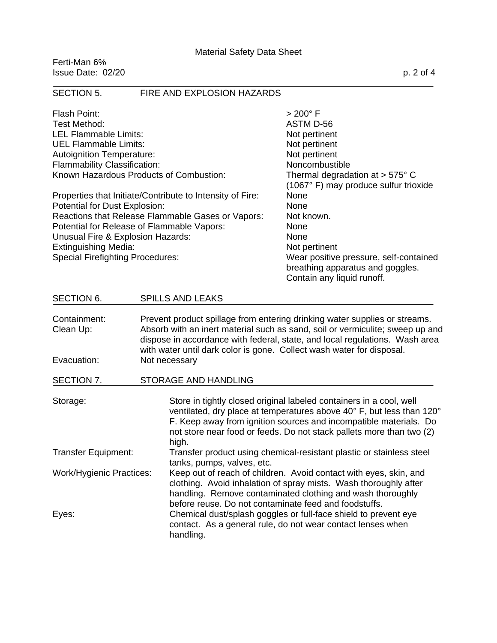Ferti-Man 6%  $Is sue Date: 02/20$  p. 2 of 4

# SECTION 5. FIRE AND EXPLOSION HAZARDS Flash Point: > 200° F Test Method: ASTM D-56 LEL Flammable Limits: Not pertinent UEL Flammable Limits: Not pertinent Autoignition Temperature: Not pertinent Flammability Classification: Noncombustible Known Hazardous Products of Combustion: Thermal degradation at > 575° C (1067° F) may produce sulfur trioxide Properties that Initiate/Contribute to Intensity of Fire: None Potential for Dust Explosion: None Reactions that Release Flammable Gases or Vapors: Not known. Potential for Release of Flammable Vapors: None Unusual Fire & Explosion Hazards: None Extinguishing Media: Not pertinent Special Firefighting Procedures: Wear positive pressure, self-contained breathing apparatus and goggles. Contain any liquid runoff. SECTION 6. SPILLS AND LEAKS Containment: Prevent product spillage from entering drinking water supplies or streams. Clean Up: Absorb with an inert material such as sand, soil or vermiculite; sweep up and dispose in accordance with federal, state, and local regulations. Wash area with water until dark color is gone. Collect wash water for disposal. Evacuation: Not necessary SECTION 7. STORAGE AND HANDLING Storage: Store in tightly closed original labeled containers in a cool, well ventilated, dry place at temperatures above 40° F, but less than 120° F. Keep away from ignition sources and incompatible materials. Do not store near food or feeds. Do not stack pallets more than two (2) high. Transfer Equipment: Transfer product using chemical-resistant plastic or stainless steel tanks, pumps, valves, etc. Work/Hygienic Practices: Keep out of reach of children. Avoid contact with eyes, skin, and clothing. Avoid inhalation of spray mists. Wash thoroughly after handling. Remove contaminated clothing and wash thoroughly before reuse. Do not contaminate feed and foodstuffs. Eyes: Chemical dust/splash goggles or full-face shield to prevent eye contact. As a general rule, do not wear contact lenses when handling.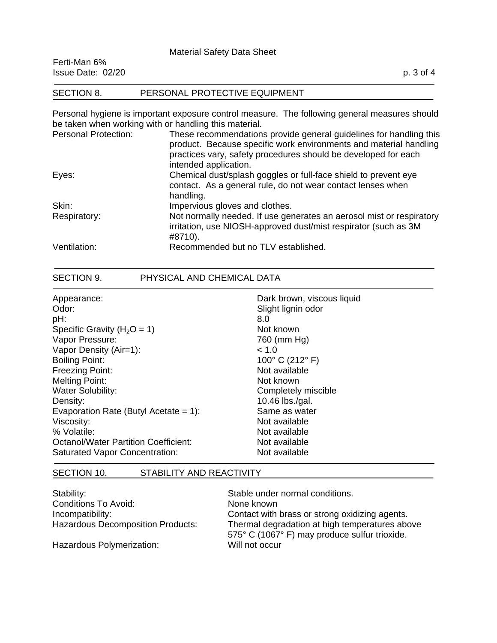### Material Safety Data Sheet

| Ferti-Man 6%<br>Issue Date: 02/20 |                               | p. 3 of 4 |
|-----------------------------------|-------------------------------|-----------|
| SECTION 8.                        | PERSONAL PROTECTIVE EQUIPMENT |           |

Personal hygiene is important exposure control measure. The following general measures should be taken when working with or handling this material.

| <b>Personal Protection:</b> | These recommendations provide general guidelines for handling this<br>product. Because specific work environments and material handling<br>practices vary, safety procedures should be developed for each<br>intended application. |
|-----------------------------|------------------------------------------------------------------------------------------------------------------------------------------------------------------------------------------------------------------------------------|
| Eyes:                       | Chemical dust/splash goggles or full-face shield to prevent eye<br>contact. As a general rule, do not wear contact lenses when<br>handling.                                                                                        |
| Skin:                       | Impervious gloves and clothes.                                                                                                                                                                                                     |
| Respiratory:                | Not normally needed. If use generates an aerosol mist or respiratory<br>irritation, use NIOSH-approved dust/mist respirator (such as 3M<br>#8710).                                                                                 |
| Ventilation:                | Recommended but no TLV established.                                                                                                                                                                                                |

## SECTION 9. PHYSICAL AND CHEMICAL DATA

| Appearance:                                 | Dark brown, viscous liquid |
|---------------------------------------------|----------------------------|
| Odor:                                       | Slight lignin odor         |
| pH:                                         | 8.0                        |
| Specific Gravity ( $H_2O = 1$ )             | Not known                  |
| Vapor Pressure:                             | 760 (mm Hg)                |
| Vapor Density (Air=1):                      | ~< 1.0                     |
| <b>Boiling Point:</b>                       | 100° C (212° F)            |
| <b>Freezing Point:</b>                      | Not available              |
| <b>Melting Point:</b>                       | Not known                  |
| <b>Water Solubility:</b>                    | Completely miscible        |
| Density:                                    | 10.46 lbs./gal.            |
| Evaporation Rate (Butyl Acetate = $1$ ):    | Same as water              |
| Viscosity:                                  | Not available              |
| % Volatile:                                 | Not available              |
| <b>Octanol/Water Partition Coefficient:</b> | Not available              |
| <b>Saturated Vapor Concentration:</b>       | Not available              |

## SECTION 10. STABILITY AND REACTIVITY

| Stability:                               | Stable under normal conditions.                                                                 |
|------------------------------------------|-------------------------------------------------------------------------------------------------|
| Conditions To Avoid:                     | None known                                                                                      |
| Incompatibility:                         | Contact with brass or strong oxidizing agents.                                                  |
| <b>Hazardous Decomposition Products:</b> | Thermal degradation at high temperatures above<br>575° C (1067° F) may produce sulfur trioxide. |
| Hazardous Polymerization:                | Will not occur                                                                                  |